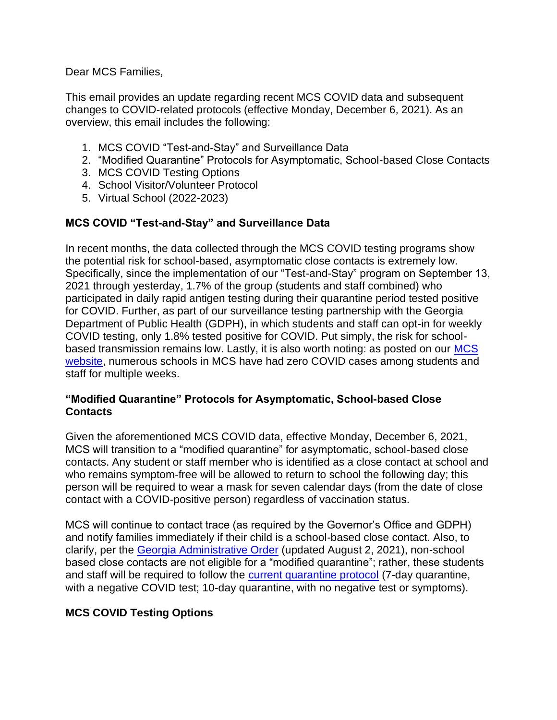Dear MCS Families,

This email provides an update regarding recent MCS COVID data and subsequent changes to COVID-related protocols (effective Monday, December 6, 2021). As an overview, this email includes the following:

- 1. MCS COVID "Test-and-Stay" and Surveillance Data
- 2. "Modified Quarantine" Protocols for Asymptomatic, School-based Close Contacts
- 3. MCS COVID Testing Options
- 4. School Visitor/Volunteer Protocol
- 5. Virtual School (2022-2023)

# **MCS COVID "Test-and-Stay" and Surveillance Data**

In recent months, the data collected through the MCS COVID testing programs show the potential risk for school-based, asymptomatic close contacts is extremely low. Specifically, since the implementation of our "Test-and-Stay" program on September 13, 2021 through yesterday, 1.7% of the group (students and staff combined) who participated in daily rapid antigen testing during their quarantine period tested positive for COVID. Further, as part of our surveillance testing partnership with the Georgia Department of Public Health (GDPH), in which students and staff can opt-in for weekly COVID testing, only 1.8% tested positive for COVID. Put simply, the risk for schoolbased transmission remains low. Lastly, it is also worth noting: as posted on our [MCS](https://www.marietta-city.org/domain/1490)  [website,](https://www.marietta-city.org/domain/1490) numerous schools in MCS have had zero COVID cases among students and staff for multiple weeks.

# **"Modified Quarantine" Protocols for Asymptomatic, School-based Close Contacts**

Given the aforementioned MCS COVID data, effective Monday, December 6, 2021, MCS will transition to a "modified quarantine" for asymptomatic, school-based close contacts. Any student or staff member who is identified as a close contact at school and who remains symptom-free will be allowed to return to school the following day; this person will be required to wear a mask for seven calendar days (from the date of close contact with a COVID-positive person) regardless of vaccination status.

MCS will continue to contact trace (as required by the Governor's Office and GDPH) and notify families immediately if their child is a school-based close contact. Also, to clarify, per the [Georgia Administrative Order](https://dph.georgia.gov/administrative-orders) (updated August 2, 2021), non-school based close contacts are not eligible for a "modified quarantine"; rather, these students and staff will be required to follow the [current quarantine protocol](https://www.marietta-city.org/cms/lib/GA01903590/Centricity/Domain/1568/NEW%20Close%20Contact%20Protocol%20Options.pdf) (7-day quarantine, with a negative COVID test; 10-day quarantine, with no negative test or symptoms).

# **MCS COVID Testing Options**